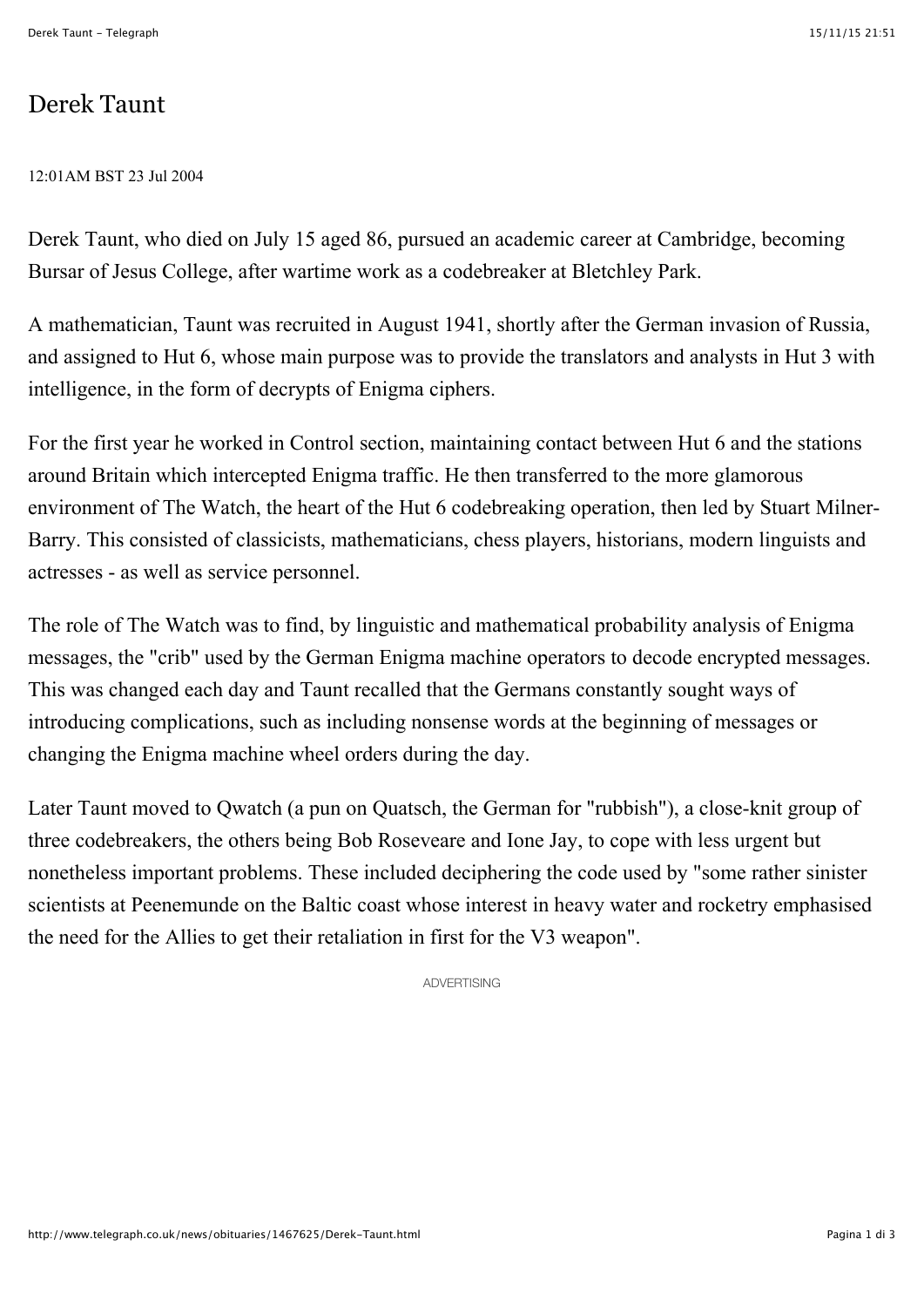## Derek Taunt

## 12:01AM BST 23 Jul 2004

Derek Taunt, who died on July 15 aged 86, pursued an academic career at Cambridge, becoming Bursar of Jesus College, after wartime work as a codebreaker at Bletchley Park.

A mathematician, Taunt was recruited in August 1941, shortly after the German invasion of Russia, and assigned to Hut 6, whose main purpose was to provide the translators and analysts in Hut 3 with intelligence, in the form of decrypts of Enigma ciphers.

For the first year he worked in Control section, maintaining contact between Hut 6 and the stations around Britain which intercepted Enigma traffic. He then transferred to the more glamorous environment of The Watch, the heart of the Hut 6 codebreaking operation, then led by Stuart Milner-Barry. This consisted of classicists, mathematicians, chess players, historians, modern linguists and actresses - as well as service personnel.

The role of The Watch was to find, by linguistic and mathematical probability analysis of Enigma messages, the "crib" used by the German Enigma machine operators to decode encrypted messages. This was changed each day and Taunt recalled that the Germans constantly sought ways of introducing complications, such as including nonsense words at the beginning of messages or changing the Enigma machine wheel orders during the day.

Later Taunt moved to Qwatch (a pun on Quatsch, the German for "rubbish"), a close-knit group of three codebreakers, the others being Bob Roseveare and Ione Jay, to cope with less urgent but nonetheless important problems. These included deciphering the code used by "some rather sinister scientists at Peenemunde on the Baltic coast whose interest in heavy water and rocketry emphasised the need for the Allies to get their retaliation in first for the V3 weapon".

ADVERTISING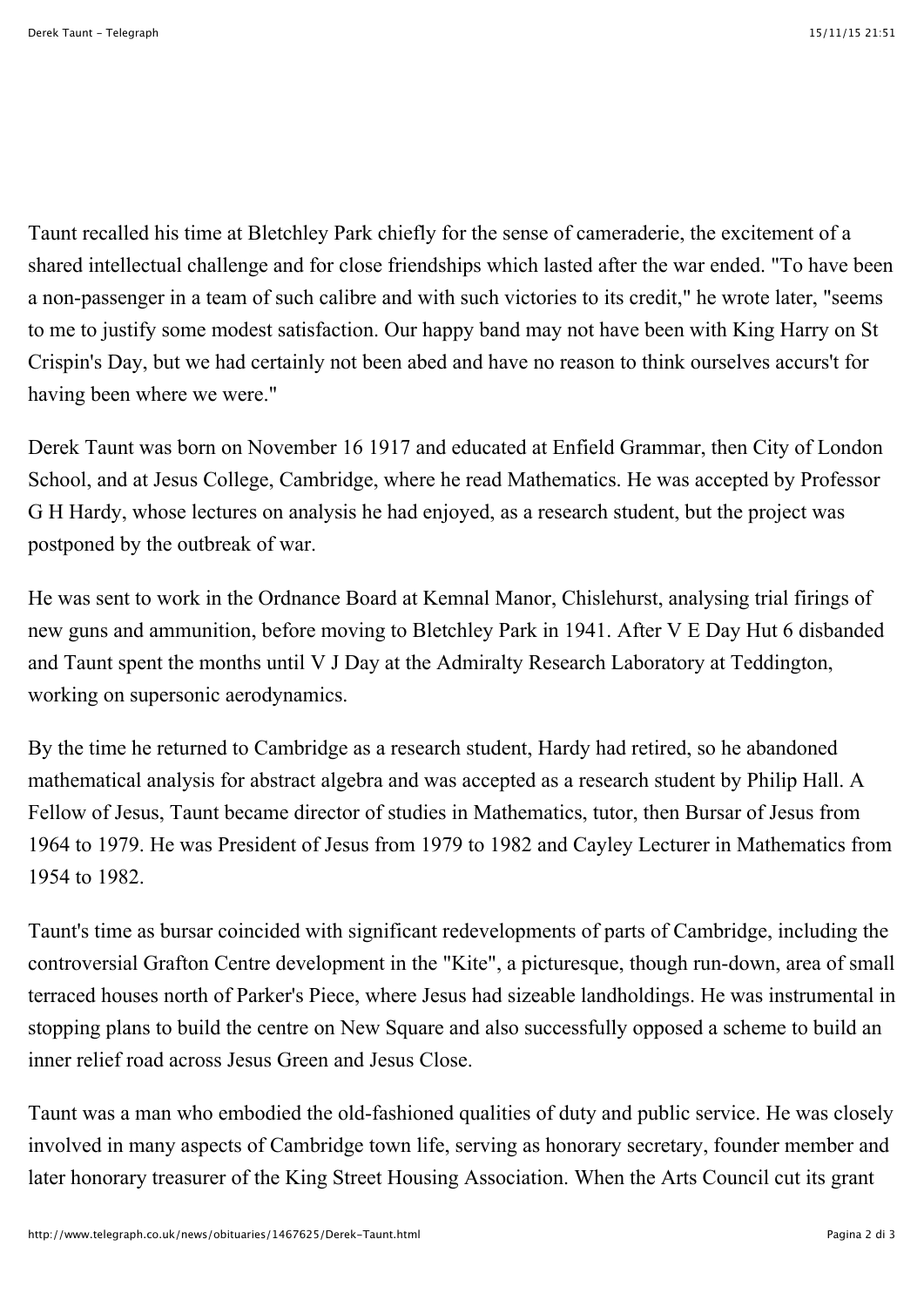Taunt recalled his time at Bletchley Park chiefly for the sense of cameraderie, the excitement of a shared intellectual challenge and for close friendships which lasted after the war ended. "To have been a non-passenger in a team of such calibre and with such victories to its credit," he wrote later, "seems to me to justify some modest satisfaction. Our happy band may not have been with King Harry on St Crispin's Day, but we had certainly not been abed and have no reason to think ourselves accurs't for having been where we were."

Derek Taunt was born on November 16 1917 and educated at Enfield Grammar, then City of London School, and at Jesus College, Cambridge, where he read Mathematics. He was accepted by Professor G H Hardy, whose lectures on analysis he had enjoyed, as a research student, but the project was postponed by the outbreak of war.

He was sent to work in the Ordnance Board at Kemnal Manor, Chislehurst, analysing trial firings of new guns and ammunition, before moving to Bletchley Park in 1941. After V E Day Hut 6 disbanded and Taunt spent the months until V J Day at the Admiralty Research Laboratory at Teddington, working on supersonic aerodynamics.

By the time he returned to Cambridge as a research student, Hardy had retired, so he abandoned mathematical analysis for abstract algebra and was accepted as a research student by Philip Hall. A Fellow of Jesus, Taunt became director of studies in Mathematics, tutor, then Bursar of Jesus from 1964 to 1979. He was President of Jesus from 1979 to 1982 and Cayley Lecturer in Mathematics from 1954 to 1982.

Taunt's time as bursar coincided with significant redevelopments of parts of Cambridge, including the controversial Grafton Centre development in the "Kite", a picturesque, though run-down, area of small terraced houses north of Parker's Piece, where Jesus had sizeable landholdings. He was instrumental in stopping plans to build the centre on New Square and also successfully opposed a scheme to build an inner relief road across Jesus Green and Jesus Close.

Taunt was a man who embodied the old-fashioned qualities of duty and public service. He was closely involved in many aspects of Cambridge town life, serving as honorary secretary, founder member and later honorary treasurer of the King Street Housing Association. When the Arts Council cut its grant